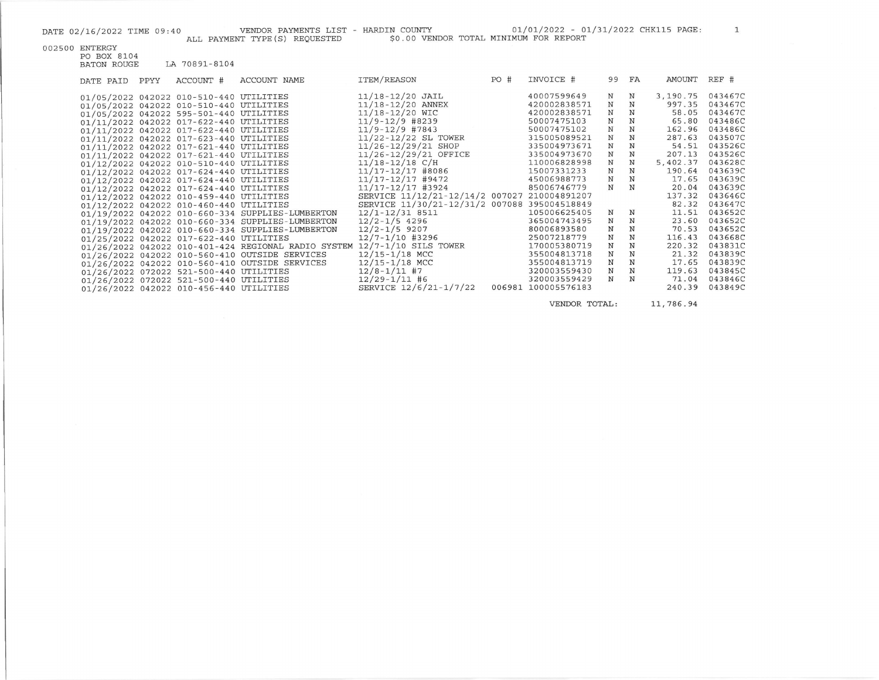$\mathbf 1$ 

| 002500 ENTERGY |
|----------------|
|                |

| PO BOX 8104 |               |
|-------------|---------------|
| BATON ROUGE | LA 70891-8104 |

| DATE PAID | PPYY | ACCOUNT #                               | ACCOUNT NAME                                        | ITEM/REASON                                  | PO# | INVOICE #           |              | 99 FA       | AMOUNT   | REF #   |
|-----------|------|-----------------------------------------|-----------------------------------------------------|----------------------------------------------|-----|---------------------|--------------|-------------|----------|---------|
|           |      | 01/05/2022 042022 010-510-440 UTILITIES |                                                     | $11/18 - 12/20$ JAIL                         |     | 40007599649         | $_{\rm N}$   | $\mathbb N$ | 3,190.75 | 0434670 |
|           |      | 01/05/2022 042022 010-510-440 UTILITIES |                                                     | 11/18-12/20 ANNEX                            |     | 420002838571        | $_{\rm N}$   | N           | 997.35   | 0434670 |
|           |      | 01/05/2022 042022 595-501-440 UTILITIES |                                                     | 11/18-12/20 WIC                              |     | 420002838571        | $_{\rm N}$   | N           | 58.05    | 0434670 |
|           |      | 01/11/2022 042022 017-622-440 UTILITIES |                                                     | $11/9 - 12/9$ #8239                          |     | 50007475103         | $_{\rm N}$   | N           | 65.80    | 0434860 |
|           |      | 01/11/2022 042022 017-622-440 UTILITIES |                                                     | $11/9 - 12/9$ #7843                          |     | 50007475102         | $_{\rm N}$   | $_{\rm N}$  | 162.96   | 0434860 |
|           |      | 01/11/2022 042022 017-623-440 UTILITIES |                                                     | 11/22-12/22 SL TOWER                         |     | 315005089521        | N            | N           | 287.63   | 0435070 |
|           |      | 01/11/2022 042022 017-621-440 UTILITIES |                                                     | $11/26 - 12/29/21$ SHOP                      |     | 335004973671        | N            | N           | 54.51    | 0435260 |
|           |      | 01/11/2022 042022 017-621-440 UTILITIES |                                                     | 11/26-12/29/21 OFFICE                        |     | 335004973670        | N            | N           | 207.13   | 0435260 |
|           |      | 01/12/2022 042022 010-510-440 UTILITIES |                                                     | $11/18 - 12/18$ C/H                          |     | 110006828998        | N            | N           | 5,402.37 | 0436280 |
|           |      | 01/12/2022 042022 017-624-440 UTILITIES |                                                     | 11/17-12/17 #8086                            |     | 15007331233         | N            | N           | 190.64   | 0436390 |
|           |      | 01/12/2022 042022 017-624-440 UTILITIES |                                                     | 11/17-12/17 #9472                            |     | 45006988773         | $\,$ N       | N           | 17.65    | 0436390 |
|           |      | 01/12/2022 042022 017-624-440 UTILITIES |                                                     | 11/17-12/17 #3924                            |     | 85006746779         | N            | N           | 20.04    | 0436390 |
|           |      | 01/12/2022 042022 010-459-440 UTILITIES |                                                     | SERVICE 11/12/21-12/14/2 007027              |     | 210004891207        |              |             | 137.32   | 0436460 |
|           |      | 01/12/2022 042022 010-460-440 UTILITIES |                                                     | SERVICE 11/30/21-12/31/2 007088 395004518849 |     |                     |              |             | 82.32    | 0436470 |
|           |      |                                         | 01/19/2022 042022 010-660-334 SUPPLIES-LUMBERTON    | 12/1-12/31 8511                              |     | 105006625405        | N            | N           | 11.51    | 0436520 |
|           |      |                                         | 01/19/2022 042022 010-660-334 SUPPLIES-LUMBERTON    | $12/2 - 1/5$ 4296                            |     | 365004743495        | N            | $_{\rm N}$  | 23.60    | 0436520 |
|           |      |                                         | 01/19/2022 042022 010-660-334 SUPPLIES-LUMBERTON    | $12/2 - 1/5$ 9207                            |     | 80006893580         | N            | N           | 70.53    | 0436520 |
|           |      | 01/25/2022 042022 017-622-440 UTILITIES |                                                     | $12/7 - 1/10$ #3296                          |     | 25007218779         | $\, {\bf N}$ | $_{\rm N}$  | 116.43   | 0436680 |
|           |      |                                         | 01/26/2022 042022 010-401-424 REGIONAL RADIO SYSTEM | 12/7-1/10 SILS TOWER                         |     | 170005380719        | N            | N           | 220.32   | 0438310 |
|           |      |                                         | 01/26/2022 042022 010-560-410 OUTSIDE SERVICES      | $12/15 - 1/18$ MCC                           |     | 355004813718        | N            | N           | 21.32    | 0438390 |
|           |      |                                         | 01/26/2022 042022 010-560-410 OUTSIDE SERVICES      | $12/15 - 1/18$ MCC                           |     | 355004813719        | N            | N           | 17.65    | 0438390 |
|           |      | 01/26/2022 072022 521-500-440 UTILITIES |                                                     | $12/8 - 1/11$ #7                             |     | 320003559430        | N            | $_{\rm N}$  | 119.63   | 0438450 |
|           |      | 01/26/2022 072022 521-500-440 UTILITIES |                                                     | $12/29 - 1/11$ #6                            |     | 320003559429        | N            | $_{\rm N}$  | 71.04    | 0438460 |
|           |      | 01/26/2022 042022 010-456-440 UTILITIES |                                                     | SERVICE 12/6/21-1/7/22                       |     | 006981 100005576183 |              |             | 240.39   | 0438490 |
|           |      |                                         |                                                     |                                              |     |                     |              |             |          |         |

VENDOR TOTAL: 11,786.94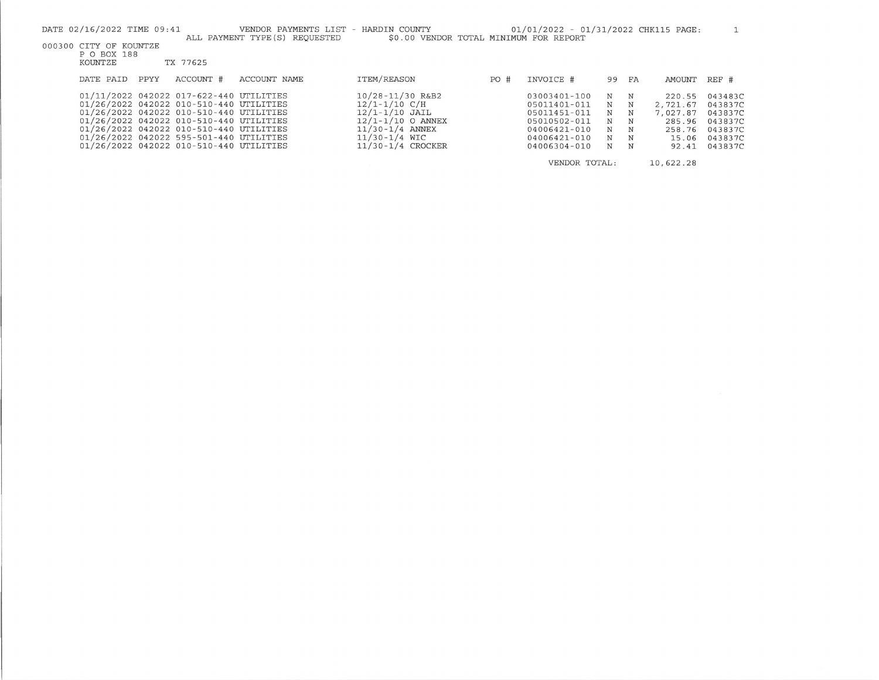|                                                                                                                                          | DATE 02/16/2022 TIME 09:41 |      |                                                                                                                                                                                                                                                                                                           | VENDOR PAYMENTS LIST - HARDIN COUNTY |                                                                                                                                                       |      | 01/01/2022 - 01/31/2022 CHK115 PAGE:                                                                         |                                 |                                                   |                                                                      |                                                                           |
|------------------------------------------------------------------------------------------------------------------------------------------|----------------------------|------|-----------------------------------------------------------------------------------------------------------------------------------------------------------------------------------------------------------------------------------------------------------------------------------------------------------|--------------------------------------|-------------------------------------------------------------------------------------------------------------------------------------------------------|------|--------------------------------------------------------------------------------------------------------------|---------------------------------|---------------------------------------------------|----------------------------------------------------------------------|---------------------------------------------------------------------------|
| ALL PAYMENT TYPE (S) REQUESTED<br>\$0.00 VENDOR TOTAL MINIMUM FOR REPORT<br>000300 CITY OF KOUNTZE<br>P O BOX 188<br>KOUNTZE<br>TX 77625 |                            |      |                                                                                                                                                                                                                                                                                                           |                                      |                                                                                                                                                       |      |                                                                                                              |                                 |                                                   |                                                                      |                                                                           |
|                                                                                                                                          | DATE PAID                  | PPYY | ACCOUNT #                                                                                                                                                                                                                                                                                                 | ACCOUNT NAME                         | ITEM/REASON                                                                                                                                           | PO # | INVOICE #                                                                                                    | 99                              | FA                                                | AMOUNT                                                               | REF #                                                                     |
|                                                                                                                                          |                            |      | 01/11/2022 042022 017-622-440 UTILITIES<br>01/26/2022 042022 010-510-440 UTILITIES<br>01/26/2022 042022 010-510-440 UTILITIES<br>01/26/2022 042022 010-510-440 UTILITIES<br>01/26/2022 042022 010-510-440 UTILITIES<br>01/26/2022 042022 595-501-440 UTILITIES<br>01/26/2022 042022 010-510-440 UTILITIES |                                      | 10/28-11/30 R&B2<br>$12/1 - 1/10$ C/H<br>$12/1 - 1/10$ JAIL<br>$12/1 - 1/10$ O ANNEX<br>$11/30 - 1/4$ ANNEX<br>$11/30 - 1/4$ WIC<br>11/30-1/4 CROCKER |      | 03003401-100<br>05011401-011<br>05011451-011<br>05010502-011<br>04006421-010<br>04006421-010<br>04006304-010 | N<br>N<br>N<br>N<br>N<br>N<br>N | N<br>$_{\rm N}$<br>N<br>N<br>N<br>$_{\rm N}$<br>N | 220.55<br>2,721.67<br>7,027.87<br>285.96<br>258.76<br>15.06<br>92.41 | 043483C<br>043837C<br>043837C<br>043837C<br>043837C<br>043837C<br>043837C |
|                                                                                                                                          |                            |      |                                                                                                                                                                                                                                                                                                           |                                      |                                                                                                                                                       |      | VENDOR TOTAL:                                                                                                |                                 |                                                   | 10,622.28                                                            |                                                                           |